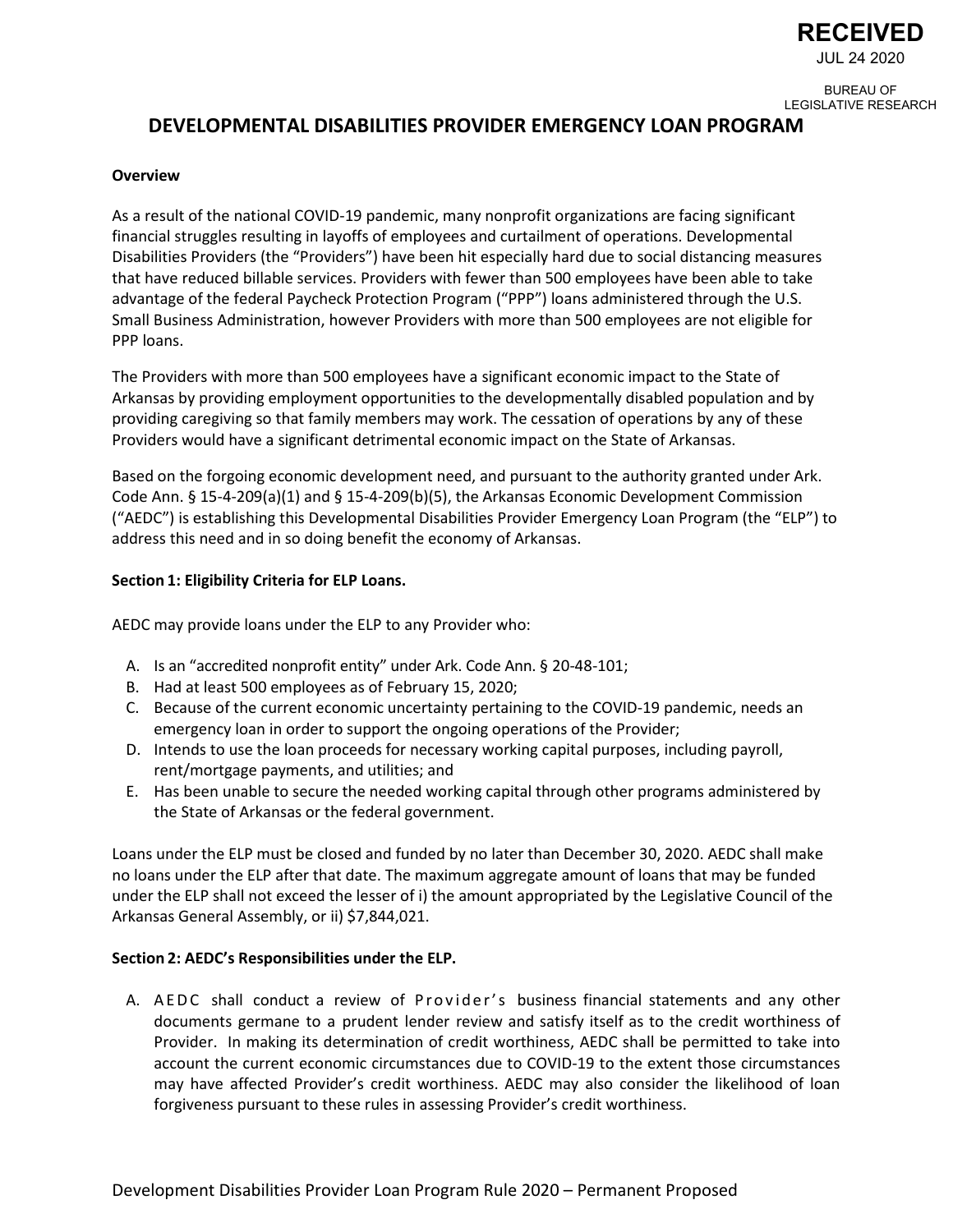

JUL 24 2020

BUREAU OF LEGISLATIVE RESEARCH

# **DEVELOPMENTAL DISABILITIES PROVIDER EMERGENCY LOAN PROGRAM**

#### **Overview**

As a result of the national COVID-19 pandemic, many nonprofit organizations are facing significant financial struggles resulting in layoffs of employees and curtailment of operations. Developmental Disabilities Providers (the "Providers") have been hit especially hard due to social distancing measures that have reduced billable services. Providers with fewer than 500 employees have been able to take advantage of the federal Paycheck Protection Program ("PPP") loans administered through the U.S. Small Business Administration, however Providers with more than 500 employees are not eligible for PPP loans.

The Providers with more than 500 employees have a significant economic impact to the State of Arkansas by providing employment opportunities to the developmentally disabled population and by providing caregiving so that family members may work. The cessation of operations by any of these Providers would have a significant detrimental economic impact on the State of Arkansas.

Based on the forgoing economic development need, and pursuant to the authority granted under Ark. Code Ann. § 15-4-209(a)(1) and § 15-4-209(b)(5), the Arkansas Economic Development Commission ("AEDC") is establishing this Developmental Disabilities Provider Emergency Loan Program (the "ELP") to address this need and in so doing benefit the economy of Arkansas.

### **Section 1: Eligibility Criteria for ELP Loans.**

AEDC may provide loans under the ELP to any Provider who:

- A. Is an "accredited nonprofit entity" under Ark. Code Ann. § 20-48-101;
- B. Had at least 500 employees as of February 15, 2020;
- C. Because of the current economic uncertainty pertaining to the COVID-19 pandemic, needs an emergency loan in order to support the ongoing operations of the Provider;
- D. Intends to use the loan proceeds for necessary working capital purposes, including payroll, rent/mortgage payments, and utilities; and
- E. Has been unable to secure the needed working capital through other programs administered by the State of Arkansas or the federal government.

Loans under the ELP must be closed and funded by no later than December 30, 2020. AEDC shall make no loans under the ELP after that date. The maximum aggregate amount of loans that may be funded under the ELP shall not exceed the lesser of i) the amount appropriated by the Legislative Council of the Arkansas General Assembly, or ii) \$7,844,021.

#### **Section 2: AEDC's Responsibilities under the ELP.**

A. AEDC shall conduct a review of Provider's business financial statements and any other documents germane to a prudent lender review and satisfy itself as to the credit worthiness of Provider. In making its determination of credit worthiness, AEDC shall be permitted to take into account the current economic circumstances due to COVID-19 to the extent those circumstances may have affected Provider's credit worthiness. AEDC may also consider the likelihood of loan forgiveness pursuant to these rules in assessing Provider's credit worthiness.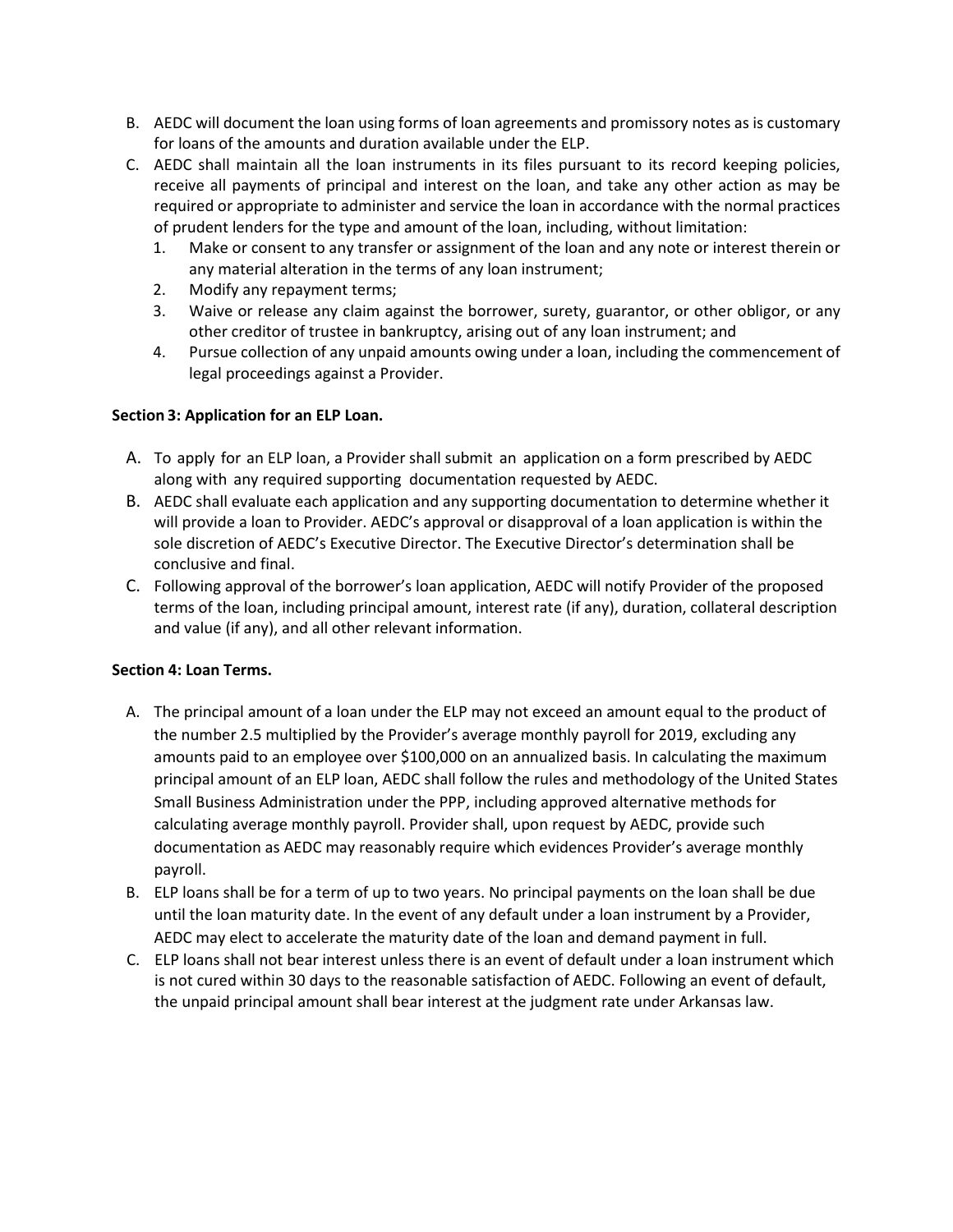- B. AEDC will document the loan using forms of loan agreements and promissory notes as is customary for loans of the amounts and duration available under the ELP.
- C. AEDC shall maintain all the loan instruments in its files pursuant to its record keeping policies, receive all payments of principal and interest on the loan, and take any other action as may be required or appropriate to administer and service the loan in accordance with the normal practices of prudent lenders for the type and amount of the loan, including, without limitation:
	- 1. Make or consent to any transfer or assignment of the loan and any note or interest therein or any material alteration in the terms of any loan instrument;
	- 2. Modify any repayment terms;
	- 3. Waive or release any claim against the borrower, surety, guarantor, or other obligor, or any other creditor of trustee in bankruptcy, arising out of any loan instrument; and
	- 4. Pursue collection of any unpaid amounts owing under a loan, including the commencement of legal proceedings against a Provider.

# **Section 3: Application for an ELP Loan.**

- A. To apply for an ELP loan, a Provider shall submit an application on a form prescribed by AEDC along with any required supporting documentation requested by AEDC.
- B. AEDC shall evaluate each application and any supporting documentation to determine whether it will provide a loan to Provider. AEDC's approval or disapproval of a loan application is within the sole discretion of AEDC's Executive Director. The Executive Director's determination shall be conclusive and final.
- C. Following approval of the borrower's loan application, AEDC will notify Provider of the proposed terms of the loan, including principal amount, interest rate (if any), duration, collateral description and value (if any), and all other relevant information.

# **Section 4: Loan Terms.**

- A. The principal amount of a loan under the ELP may not exceed an amount equal to the product of the number 2.5 multiplied by the Provider's average monthly payroll for 2019, excluding any amounts paid to an employee over \$100,000 on an annualized basis. In calculating the maximum principal amount of an ELP loan, AEDC shall follow the rules and methodology of the United States Small Business Administration under the PPP, including approved alternative methods for calculating average monthly payroll. Provider shall, upon request by AEDC, provide such documentation as AEDC may reasonably require which evidences Provider's average monthly payroll.
- B. ELP loans shall be for a term of up to two years. No principal payments on the loan shall be due until the loan maturity date. In the event of any default under a loan instrument by a Provider, AEDC may elect to accelerate the maturity date of the loan and demand payment in full.
- C. ELP loans shall not bear interest unless there is an event of default under a loan instrument which is not cured within 30 days to the reasonable satisfaction of AEDC. Following an event of default, the unpaid principal amount shall bear interest at the judgment rate under Arkansas law.